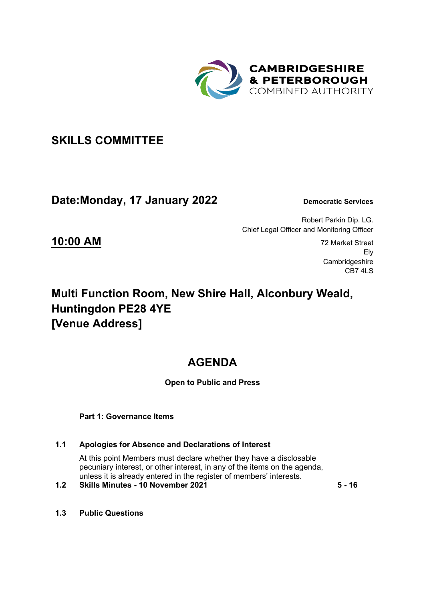

## **SKILLS COMMITTEE**

## **Date:Monday, 17 January 2022 Democratic Services**

Robert Parkin Dip. LG. Chief Legal Officer and Monitoring Officer

**10:00 AM** 72 Market Street Ely **Cambridgeshire** CB7 4LS

# **Multi Function Room, New Shire Hall, Alconbury Weald, Huntingdon PE28 4YE [Venue Address]**

# **AGENDA**

## **Open to Public and Press**

 **Part 1: Governance Items** 

### **1.1 Apologies for Absence and Declarations of Interest**

At this point Members must declare whether they have a disclosable pecuniary interest, or other interest, in any of the items on the agenda, unless it is already entered in the register of members' interests.

### **1.2 Skills Minutes - 10 November 2021 5 - 16**

**1.3 Public Questions**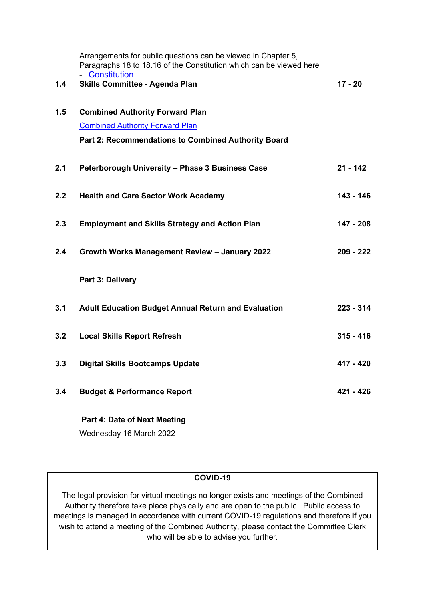|     | Arrangements for public questions can be viewed in Chapter 5,<br>Paragraphs 18 to 18.16 of the Constitution which can be viewed here |             |
|-----|--------------------------------------------------------------------------------------------------------------------------------------|-------------|
| 1.4 | - Constitution<br><b>Skills Committee - Agenda Plan</b>                                                                              | $17 - 20$   |
| 1.5 | <b>Combined Authority Forward Plan</b>                                                                                               |             |
|     | <b>Combined Authority Forward Plan</b>                                                                                               |             |
|     | Part 2: Recommendations to Combined Authority Board                                                                                  |             |
| 2.1 | Peterborough University - Phase 3 Business Case                                                                                      | $21 - 142$  |
| 2.2 | <b>Health and Care Sector Work Academy</b>                                                                                           | 143 - 146   |
| 2.3 | <b>Employment and Skills Strategy and Action Plan</b>                                                                                | 147 - 208   |
| 2.4 | Growth Works Management Review - January 2022                                                                                        | 209 - 222   |
|     | Part 3: Delivery                                                                                                                     |             |
| 3.1 | <b>Adult Education Budget Annual Return and Evaluation</b>                                                                           | $223 - 314$ |
| 3.2 | <b>Local Skills Report Refresh</b>                                                                                                   | $315 - 416$ |
| 3.3 | <b>Digital Skills Bootcamps Update</b>                                                                                               | 417 - 420   |
| 3.4 | <b>Budget &amp; Performance Report</b>                                                                                               | 421 - 426   |
|     | Part 4: Date of Next Meeting                                                                                                         |             |

Wednesday 16 March 2022

## **COVID-19**

The legal provision for virtual meetings no longer exists and meetings of the Combined Authority therefore take place physically and are open to the public. Public access to meetings is managed in accordance with current COVID-19 regulations and therefore if you wish to attend a meeting of the Combined Authority, please contact the Committee Clerk who will be able to advise you further.